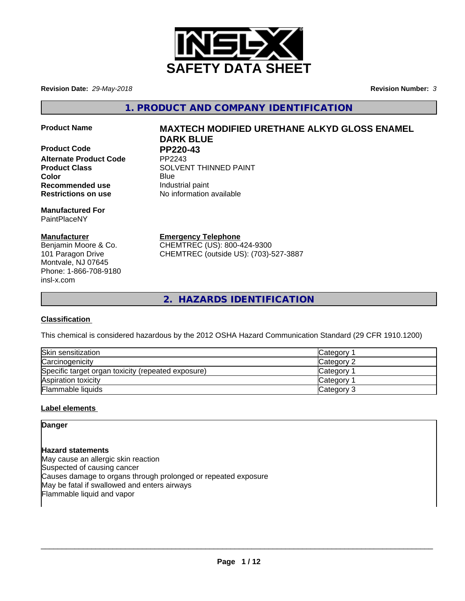

**Revision Date:** *29-May-2018* **Revision Number:** *3*

**1. PRODUCT AND COMPANY IDENTIFICATION**

**Product Code PP220-43**<br>Alternate Product Code PP2243 **Alternate Product Code Recommended use Industrial paint Restrictions on use** No information available

**Manufactured For** PaintPlaceNY

## **Manufacturer**

Benjamin Moore & Co. 101 Paragon Drive Montvale, NJ 07645 Phone: 1-866-708-9180 insl-x.com

# **Product Name MAXTECH MODIFIED URETHANE ALKYD GLOSS ENAMEL DARK BLUE**

**Product Class SOLVENT THINNED PAINT Color** Blue Blue

> **Emergency Telephone** CHEMTREC (US): 800-424-9300

CHEMTREC (outside US): (703)-527-3887

**2. HAZARDS IDENTIFICATION**

## **Classification**

This chemical is considered hazardous by the 2012 OSHA Hazard Communication Standard (29 CFR 1910.1200)

| Skin sensitization                                 | Category        |
|----------------------------------------------------|-----------------|
| Carcinogenicity                                    | Category 2      |
| Specific target organ toxicity (repeated exposure) | <b>Category</b> |
| Aspiration toxicity                                | <b>Category</b> |
| Flammable liquids                                  | Category 3      |

## **Label elements**

**Danger**

**Hazard statements** May cause an allergic skin reaction Suspected of causing cancer Causes damage to organs through prolonged or repeated exposure May be fatal if swallowed and enters airways Flammable liquid and vapor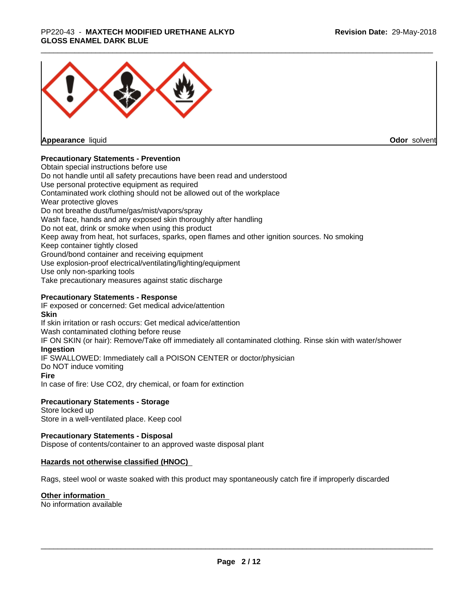#### \_\_\_\_\_\_\_\_\_\_\_\_\_\_\_\_\_\_\_\_\_\_\_\_\_\_\_\_\_\_\_\_\_\_\_\_\_\_\_\_\_\_\_\_\_\_\_\_\_\_\_\_\_\_\_\_\_\_\_\_\_\_\_\_\_\_\_\_\_\_\_\_\_\_\_\_\_\_\_\_\_\_\_\_\_\_\_\_\_\_\_\_\_ PP220-43 - **MAXTECH MODIFIED URETHANE ALKYD GLOSS ENAMEL DARK BLUE**



**Appearance** liquid

**Odor** solvent

## **Precautionary Statements - Prevention**

Obtain special instructions before use Do not handle until all safety precautions have been read and understood Use personal protective equipment as required Contaminated work clothing should not be allowed out of the workplace Wear protective gloves Do not breathe dust/fume/gas/mist/vapors/spray Wash face, hands and any exposed skin thoroughly after handling Do not eat, drink or smoke when using this product Keep away from heat, hot surfaces, sparks, open flames and other ignition sources. No smoking Keep container tightly closed Ground/bond container and receiving equipment Use explosion-proof electrical/ventilating/lighting/equipment Use only non-sparking tools Take precautionary measures against static discharge

## **Precautionary Statements - Response**

IF exposed or concerned: Get medical advice/attention **Skin** If skin irritation or rash occurs: Get medical advice/attention Wash contaminated clothing before reuse IF ON SKIN (or hair): Remove/Take off immediately all contaminated clothing. Rinse skin with water/shower **Ingestion** IF SWALLOWED: Immediately call a POISON CENTER or doctor/physician Do NOT induce vomiting **Fire** In case of fire: Use CO2, dry chemical, or foam for extinction

## **Precautionary Statements - Storage**

Store locked up Store in a well-ventilated place. Keep cool

## **Precautionary Statements - Disposal**

Dispose of contents/container to an approved waste disposal plant

## **Hazards not otherwise classified (HNOC)**

Rags, steel wool or waste soaked with this product may spontaneously catch fire if improperly discarded

## **Other information**

No information available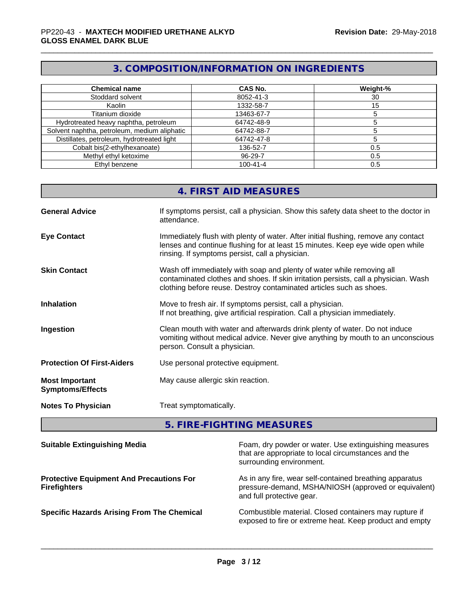# **3. COMPOSITION/INFORMATION ON INGREDIENTS**

| <b>Chemical name</b>                         | <b>CAS No.</b> | Weight-% |
|----------------------------------------------|----------------|----------|
| Stoddard solvent                             | 8052-41-3      | 30       |
| Kaolin                                       | 1332-58-7      | 15       |
| Titanium dioxide                             | 13463-67-7     |          |
| Hydrotreated heavy naphtha, petroleum        | 64742-48-9     |          |
| Solvent naphtha, petroleum, medium aliphatic | 64742-88-7     |          |
| Distillates, petroleum, hydrotreated light   | 64742-47-8     |          |
| Cobalt bis(2-ethylhexanoate)                 | 136-52-7       | 0.5      |
| Methyl ethyl ketoxime                        | $96 - 29 - 7$  | 0.5      |
| Ethyl benzene                                | $100 - 41 - 4$ | 0.5      |

|                                                  | 4. FIRST AID MEASURES                                                                                                                                                                                                               |
|--------------------------------------------------|-------------------------------------------------------------------------------------------------------------------------------------------------------------------------------------------------------------------------------------|
| <b>General Advice</b>                            | If symptoms persist, call a physician. Show this safety data sheet to the doctor in<br>attendance.                                                                                                                                  |
| <b>Eye Contact</b>                               | Immediately flush with plenty of water. After initial flushing, remove any contact<br>lenses and continue flushing for at least 15 minutes. Keep eye wide open while<br>rinsing. If symptoms persist, call a physician.             |
| <b>Skin Contact</b>                              | Wash off immediately with soap and plenty of water while removing all<br>contaminated clothes and shoes. If skin irritation persists, call a physician. Wash<br>clothing before reuse. Destroy contaminated articles such as shoes. |
| <b>Inhalation</b>                                | Move to fresh air. If symptoms persist, call a physician.<br>If not breathing, give artificial respiration. Call a physician immediately.                                                                                           |
| Ingestion                                        | Clean mouth with water and afterwards drink plenty of water. Do not induce<br>vomiting without medical advice. Never give anything by mouth to an unconscious<br>person. Consult a physician.                                       |
| <b>Protection Of First-Aiders</b>                | Use personal protective equipment.                                                                                                                                                                                                  |
| <b>Most Important</b><br><b>Symptoms/Effects</b> | May cause allergic skin reaction.                                                                                                                                                                                                   |
| <b>Notes To Physician</b>                        | Treat symptomatically.                                                                                                                                                                                                              |

# **5. FIRE-FIGHTING MEASURES**

| <b>Suitable Extinguishing Media</b>                                    | Foam, dry powder or water. Use extinguishing measures<br>that are appropriate to local circumstances and the<br>surrounding environment.     |
|------------------------------------------------------------------------|----------------------------------------------------------------------------------------------------------------------------------------------|
| <b>Protective Equipment And Precautions For</b><br><b>Firefighters</b> | As in any fire, wear self-contained breathing apparatus<br>pressure-demand, MSHA/NIOSH (approved or equivalent)<br>and full protective gear. |
| <b>Specific Hazards Arising From The Chemical</b>                      | Combustible material. Closed containers may rupture if<br>exposed to fire or extreme heat. Keep product and empty                            |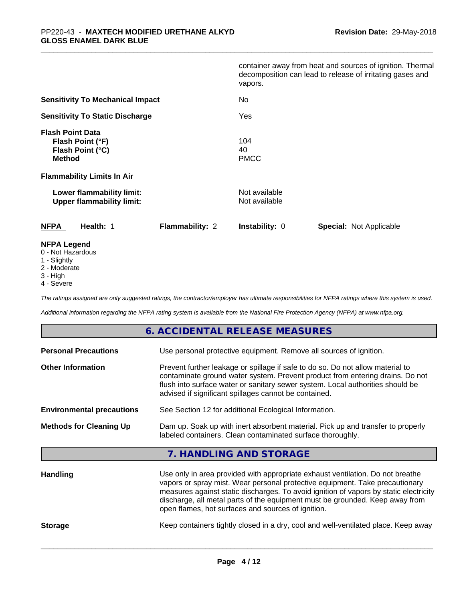|                                                                                  | container away from heat and sources of ignition. Thermal<br>decomposition can lead to release of irritating gases and<br>vapors. |
|----------------------------------------------------------------------------------|-----------------------------------------------------------------------------------------------------------------------------------|
| <b>Sensitivity To Mechanical Impact</b>                                          | No                                                                                                                                |
| <b>Sensitivity To Static Discharge</b>                                           | Yes                                                                                                                               |
| <b>Flash Point Data</b><br>Flash Point (°F)<br>Flash Point (°C)<br><b>Method</b> | 104<br>40<br><b>PMCC</b>                                                                                                          |
| <b>Flammability Limits In Air</b>                                                |                                                                                                                                   |
| Lower flammability limit:<br><b>Upper flammability limit:</b>                    | Not available<br>Not available                                                                                                    |
| Health: 1<br><b>Flammability: 2</b><br><b>NFPA</b>                               | <b>Instability: 0</b><br><b>Special: Not Applicable</b>                                                                           |
| <b>NFPA Legend</b><br>0 - Not Hazardous                                          |                                                                                                                                   |

- 1 Slightly
- 2 Moderate
- 3 High
- 4 Severe

*The ratings assigned are only suggested ratings, the contractor/employer has ultimate responsibilities for NFPA ratings where this system is used.*

*Additional information regarding the NFPA rating system is available from the National Fire Protection Agency (NFPA) at www.nfpa.org.*

## **6. ACCIDENTAL RELEASE MEASURES**

| <b>Personal Precautions</b>      | Use personal protective equipment. Remove all sources of ignition.                                                                                                                                                                                                                                                                                                                            |
|----------------------------------|-----------------------------------------------------------------------------------------------------------------------------------------------------------------------------------------------------------------------------------------------------------------------------------------------------------------------------------------------------------------------------------------------|
| <b>Other Information</b>         | Prevent further leakage or spillage if safe to do so. Do not allow material to<br>contaminate ground water system. Prevent product from entering drains. Do not<br>flush into surface water or sanitary sewer system. Local authorities should be<br>advised if significant spillages cannot be contained.                                                                                    |
| <b>Environmental precautions</b> | See Section 12 for additional Ecological Information.                                                                                                                                                                                                                                                                                                                                         |
| <b>Methods for Cleaning Up</b>   | Dam up. Soak up with inert absorbent material. Pick up and transfer to properly<br>labeled containers. Clean contaminated surface thoroughly.                                                                                                                                                                                                                                                 |
|                                  | 7. HANDLING AND STORAGE                                                                                                                                                                                                                                                                                                                                                                       |
| <b>Handling</b>                  | Use only in area provided with appropriate exhaust ventilation. Do not breathe<br>vapors or spray mist. Wear personal protective equipment. Take precautionary<br>measures against static discharges. To avoid ignition of vapors by static electricity<br>discharge, all metal parts of the equipment must be grounded. Keep away from<br>open flames, hot surfaces and sources of ignition. |

**Storage** Keep containers tightly closed in a dry, cool and well-ventilated place. Keep away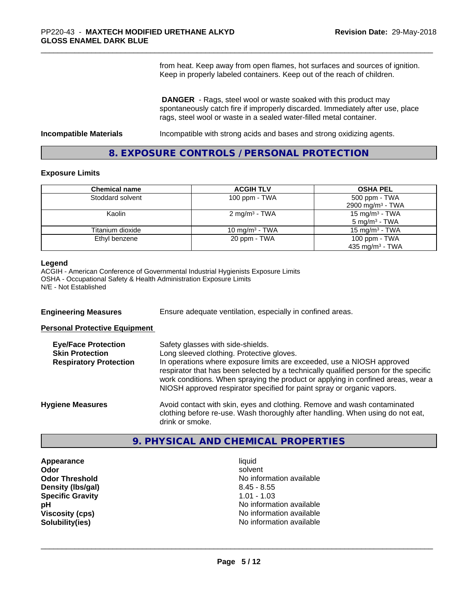from heat. Keep away from open flames, hot surfaces and sources of ignition. Keep in properly labeled containers. Keep out of the reach of children.

 **DANGER** - Rags, steel wool or waste soaked with this product may spontaneously catch fire if improperly discarded. Immediately after use, place rags, steel wool or waste in a sealed water-filled metal container.

**Incompatible Materials Incompatible with strong acids and bases and strong oxidizing agents.** 

## **8. EXPOSURE CONTROLS / PERSONAL PROTECTION**

#### **Exposure Limits**

| <b>Chemical name</b> | <b>ACGIH TLV</b>          | <b>OSHA PEL</b>              |
|----------------------|---------------------------|------------------------------|
| Stoddard solvent     | 100 ppm $-$ TWA           | 500 ppm - TWA                |
|                      |                           | 2900 mg/m <sup>3</sup> - TWA |
| Kaolin               | 2 mg/m <sup>3</sup> - TWA | 15 mg/m $3$ - TWA            |
|                      |                           | $5 \text{ mg/m}^3$ - TWA     |
| Titanium dioxide     | 10 mg/m $3$ - TWA         | 15 mg/m $3$ - TWA            |
| Ethyl benzene        | 20 ppm - TWA              | 100 ppm $-$ TWA              |
|                      |                           | 435 mg/m <sup>3</sup> - TWA  |

#### **Legend**

ACGIH - American Conference of Governmental Industrial Hygienists Exposure Limits OSHA - Occupational Safety & Health Administration Exposure Limits N/E - Not Established

**Engineering Measures** Ensure adequate ventilation, especially in confined areas.

**Personal Protective Equipment**

| <b>Eye/Face Protection</b><br><b>Skin Protection</b><br><b>Respiratory Protection</b> | Safety glasses with side-shields.<br>Long sleeved clothing. Protective gloves.<br>In operations where exposure limits are exceeded, use a NIOSH approved<br>respirator that has been selected by a technically qualified person for the specific<br>work conditions. When spraying the product or applying in confined areas, wear a<br>NIOSH approved respirator specified for paint spray or organic vapors. |
|---------------------------------------------------------------------------------------|----------------------------------------------------------------------------------------------------------------------------------------------------------------------------------------------------------------------------------------------------------------------------------------------------------------------------------------------------------------------------------------------------------------|
| <b>Hygiene Measures</b>                                                               | Avoid contact with skin, eyes and clothing. Remove and wash contaminated<br>clothing before re-use. Wash thoroughly after handling. When using do not eat,<br>drink or smoke.                                                                                                                                                                                                                                  |

## **9. PHYSICAL AND CHEMICAL PROPERTIES**

**Appearance** liquid **Density (lbs/gal)** 8.45 - 8.55 **Specific Gravity** 1.01 - 1.03

**Odor** solvent **Odor Threshold** No information available **pH** No information available **Viscosity (cps)**  $\blacksquare$  No information available<br> **Solubility (ies)** Solubility (ies) **Solubility(ies)** No information available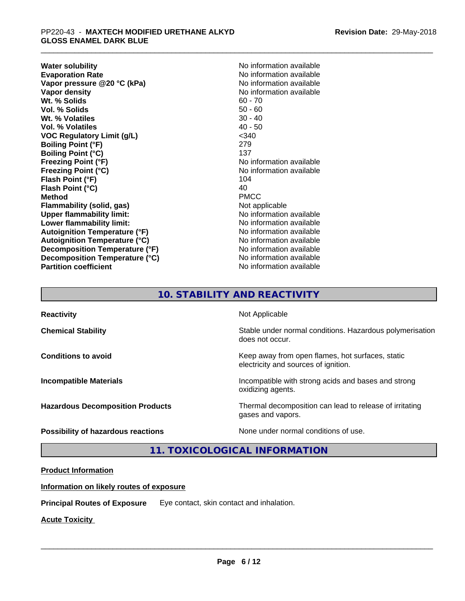**Water solubility**<br> **Evaporation Rate**<br> **Evaporation Rate**<br> **Evaporation Rate Vapor** pressure @20 °C (kPa) **Vapor density**<br> **We Solids**<br>
We Solids
2019<br>
We Solid Solid Solid Solid Solid Solid Solid Solid Solid Solid Solid Solid Solid Solid Solid Solid Solid Solid Solid Solid Solid Solid Solid Solid Solid Solid Solid Solid Solid **Wt. % Solids** 60 - 70<br> **Vol. % Solids** 60 - 70<br> **Vol. % Solids** 50 - 60 **Vol. % Solids Wt. % Volatiles** 30 - 40 **Vol. % Volatiles** 40 - 50 **VOC Regulatory Limit (g/L)** <340 **Boiling Point (°F)** 279 **Boiling Point (°C)** 137 **Freezing Point (°F)** No information available **Freezing Point (°C)**<br> **Flash Point (°F)**<br> **Flash Point (°F)**<br> **Point (°F)**<br> **Point (°F)**<br> **Point (°F)**<br> **Point (°F) Flash Point (°F) Flash Point (°C)** 40 **Method** PMCC **Flammability (solid, gas)** Not applicable **Upper flammability limit:** No information available **Lower flammability limit:** No information available **Autoignition Temperature (°F)** No information available **Autoignition Temperature (°C)** No information available **Decomposition Temperature (°F)** No information available **Decomposition Temperature (°C)** No information available **Partition coefficient** No information available

No information available<br>No information available

# **10. STABILITY AND REACTIVITY**

| <b>Reactivity</b>                       | Not Applicable                                                                           |
|-----------------------------------------|------------------------------------------------------------------------------------------|
| <b>Chemical Stability</b>               | Stable under normal conditions. Hazardous polymerisation<br>does not occur.              |
| <b>Conditions to avoid</b>              | Keep away from open flames, hot surfaces, static<br>electricity and sources of ignition. |
| <b>Incompatible Materials</b>           | Incompatible with strong acids and bases and strong<br>oxidizing agents.                 |
| <b>Hazardous Decomposition Products</b> | Thermal decomposition can lead to release of irritating<br>gases and vapors.             |
| Possibility of hazardous reactions      | None under normal conditions of use.                                                     |

**11. TOXICOLOGICAL INFORMATION**

## **Product Information**

## **Information on likely routes of exposure**

**Principal Routes of Exposure** Eye contact, skin contact and inhalation.

**Acute Toxicity**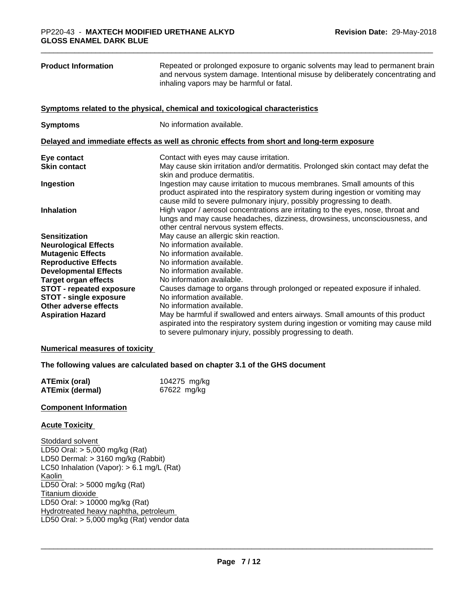| <b>Product Information</b>                             | Repeated or prolonged exposure to organic solvents may lead to permanent brain<br>and nervous system damage. Intentional misuse by deliberately concentrating and<br>inhaling vapors may be harmful or fatal.                        |
|--------------------------------------------------------|--------------------------------------------------------------------------------------------------------------------------------------------------------------------------------------------------------------------------------------|
|                                                        | Symptoms related to the physical, chemical and toxicological characteristics                                                                                                                                                         |
| <b>Symptoms</b>                                        | No information available.                                                                                                                                                                                                            |
|                                                        | Delayed and immediate effects as well as chronic effects from short and long-term exposure                                                                                                                                           |
| Eye contact                                            | Contact with eyes may cause irritation.                                                                                                                                                                                              |
| <b>Skin contact</b>                                    | May cause skin irritation and/or dermatitis. Prolonged skin contact may defat the<br>skin and produce dermatitis.                                                                                                                    |
| Ingestion                                              | Ingestion may cause irritation to mucous membranes. Small amounts of this<br>product aspirated into the respiratory system during ingestion or vomiting may<br>cause mild to severe pulmonary injury, possibly progressing to death. |
| <b>Inhalation</b>                                      | High vapor / aerosol concentrations are irritating to the eyes, nose, throat and<br>lungs and may cause headaches, dizziness, drowsiness, unconsciousness, and<br>other central nervous system effects.                              |
| <b>Sensitization</b>                                   | May cause an allergic skin reaction.                                                                                                                                                                                                 |
| <b>Neurological Effects</b>                            | No information available.                                                                                                                                                                                                            |
| <b>Mutagenic Effects</b>                               | No information available.                                                                                                                                                                                                            |
| <b>Reproductive Effects</b>                            | No information available.                                                                                                                                                                                                            |
| <b>Developmental Effects</b>                           | No information available.                                                                                                                                                                                                            |
| <b>Target organ effects</b>                            | No information available.                                                                                                                                                                                                            |
| <b>STOT - repeated exposure</b>                        | Causes damage to organs through prolonged or repeated exposure if inhaled.<br>No information available.                                                                                                                              |
| <b>STOT - single exposure</b><br>Other adverse effects | No information available.                                                                                                                                                                                                            |
| <b>Aspiration Hazard</b>                               | May be harmful if swallowed and enters airways. Small amounts of this product<br>aspirated into the respiratory system during ingestion or vomiting may cause mild<br>to severe pulmonary injury, possibly progressing to death.     |
| <b>Numerical measures of toxicity</b>                  |                                                                                                                                                                                                                                      |
|                                                        | The following values are calculated based on chapter 3.1 of the GHS document                                                                                                                                                         |
| <b>ATEmix (oral)</b><br><b>ATEmix (dermal)</b>         | 104275 mg/kg<br>67622 mg/kg                                                                                                                                                                                                          |
| <b>Component Information</b>                           |                                                                                                                                                                                                                                      |
| <b>Acute Toxicity</b>                                  |                                                                                                                                                                                                                                      |

Stoddard solvent LD50 Oral: > 5,000 mg/kg (Rat) LD50 Dermal: > 3160 mg/kg (Rabbit) LC50 Inhalation (Vapor): > 6.1 mg/L (Rat) Kaolin LD50 Oral: > 5000 mg/kg (Rat) Titanium dioxide LD50 Oral: > 10000 mg/kg (Rat) Hydrotreated heavy naphtha, petroleum LD50 Oral: > 5,000 mg/kg (Rat) vendor data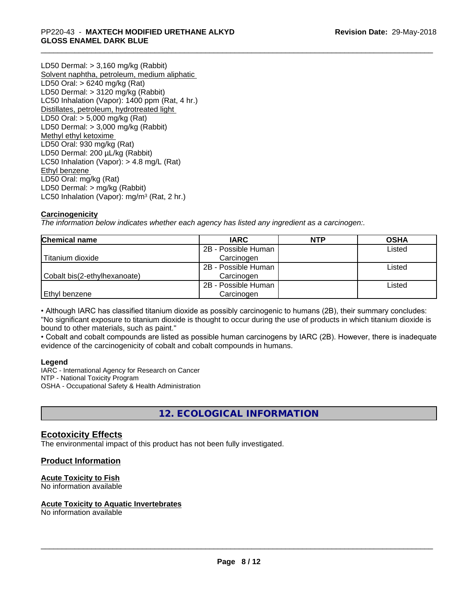LD50 Dermal: > 3,160 mg/kg (Rabbit) Solvent naphtha, petroleum, medium aliphatic LD50 Oral: > 6240 mg/kg (Rat) LD50 Dermal: > 3120 mg/kg (Rabbit) LC50 Inhalation (Vapor): 1400 ppm (Rat, 4 hr.) Distillates, petroleum, hydrotreated light LD50 Oral: > 5,000 mg/kg (Rat) LD50 Dermal: > 3,000 mg/kg (Rabbit) Methyl ethyl ketoxime LD50 Oral: 930 mg/kg (Rat) LD50 Dermal: 200 µL/kg (Rabbit) LC50 Inhalation (Vapor): > 4.8 mg/L (Rat) Ethyl benzene LD50 Oral: mg/kg (Rat) LD50 Dermal: > mg/kg (Rabbit) LC50 Inhalation (Vapor): mg/m<sup>3</sup> (Rat, 2 hr.)

#### **Carcinogenicity**

*The information below indicateswhether each agency has listed any ingredient as a carcinogen:.*

| <b>Chemical name</b>         | <b>IARC</b>         | <b>NTP</b> | <b>OSHA</b> |
|------------------------------|---------------------|------------|-------------|
|                              | 2B - Possible Human |            | Listed      |
| Titanium dioxide             | Carcinogen          |            |             |
|                              | 2B - Possible Human |            | Listed      |
| Cobalt bis(2-ethylhexanoate) | Carcinogen          |            |             |
|                              | 2B - Possible Human |            | Listed      |
| l Ethvl benzene              | Carcinogen          |            |             |

• Although IARC has classified titanium dioxide as possibly carcinogenic to humans (2B), their summary concludes: "No significant exposure to titanium dioxide is thought to occur during the use of products in which titanium dioxide is bound to other materials, such as paint."

• Cobalt and cobalt compounds are listed as possible human carcinogens by IARC (2B). However, there is inadequate evidence of the carcinogenicity of cobalt and cobalt compounds in humans.

#### **Legend**

IARC - International Agency for Research on Cancer NTP - National Toxicity Program OSHA - Occupational Safety & Health Administration

**12. ECOLOGICAL INFORMATION**

## **Ecotoxicity Effects**

The environmental impact of this product has not been fully investigated.

## **Product Information**

## **Acute Toxicity to Fish**

No information available

#### **Acute Toxicity to Aquatic Invertebrates**

No information available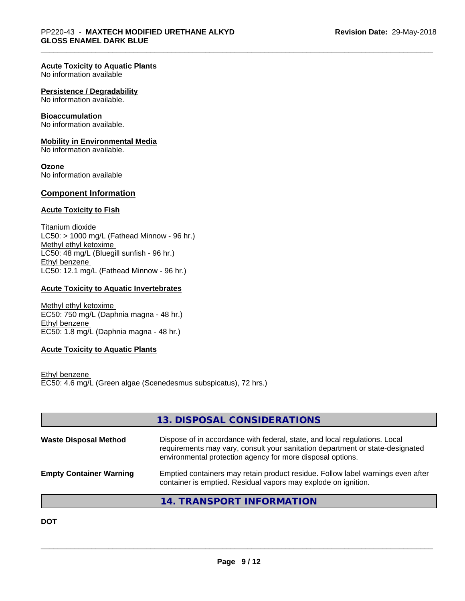#### **Acute Toxicity to Aquatic Plants**

No information available

#### **Persistence / Degradability**

No information available.

#### **Bioaccumulation**

No information available.

#### **Mobility in Environmental Media**

No information available.

#### **Ozone**

No information available

#### **Component Information**

#### **Acute Toxicity to Fish**

Titanium dioxide  $\overline{\text{LC50:}}$  > 1000 mg/L (Fathead Minnow - 96 hr.) Methyl ethyl ketoxime LC50: 48 mg/L (Bluegill sunfish - 96 hr.) Ethyl benzene LC50: 12.1 mg/L (Fathead Minnow - 96 hr.)

#### **Acute Toxicity to Aquatic Invertebrates**

Methyl ethyl ketoxime EC50: 750 mg/L (Daphnia magna - 48 hr.) Ethyl benzene EC50: 1.8 mg/L (Daphnia magna - 48 hr.)

#### **Acute Toxicity to Aquatic Plants**

Ethyl benzene EC50: 4.6 mg/L (Green algae (Scenedesmus subspicatus), 72 hrs.)

|                                | 13. DISPOSAL CONSIDERATIONS                                                                                                                                                                                               |
|--------------------------------|---------------------------------------------------------------------------------------------------------------------------------------------------------------------------------------------------------------------------|
| <b>Waste Disposal Method</b>   | Dispose of in accordance with federal, state, and local regulations. Local<br>requirements may vary, consult your sanitation department or state-designated<br>environmental protection agency for more disposal options. |
| <b>Empty Container Warning</b> | Emptied containers may retain product residue. Follow label warnings even after<br>container is emptied. Residual vapors may explode on ignition.                                                                         |
|                                |                                                                                                                                                                                                                           |

**14. TRANSPORT INFORMATION**

**DOT**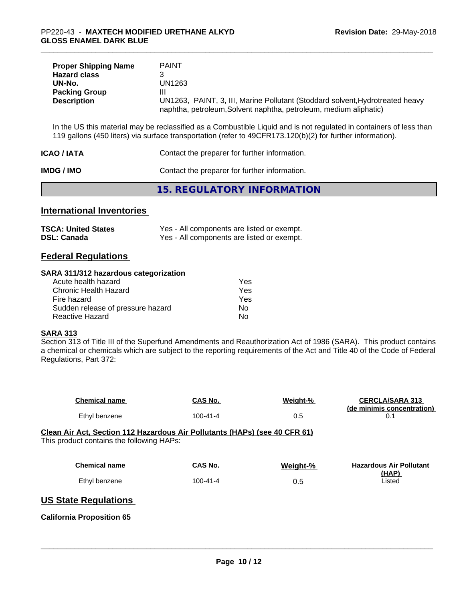| <b>Proper Shipping Name</b> | PAINT                                                                         |
|-----------------------------|-------------------------------------------------------------------------------|
| <b>Hazard class</b>         |                                                                               |
| UN-No.                      | UN1263                                                                        |
| <b>Packing Group</b>        | Ш                                                                             |
| <b>Description</b>          | UN1263, PAINT, 3, III, Marine Pollutant (Stoddard solvent, Hydrotreated heavy |
|                             | naphtha, petroleum, Solvent naphtha, petroleum, medium aliphatic)             |

In the US this material may be reclassified as a Combustible Liquid and is not regulated in containers of less than 119 gallons (450 liters) via surface transportation (refer to 49CFR173.120(b)(2) for further information).

| ICAO / IATA | Contact the preparer for further information. |
|-------------|-----------------------------------------------|
|             |                                               |

**IMDG / IMO** Contact the preparer for further information.

**15. REGULATORY INFORMATION**

## **International Inventories**

| <b>TSCA: United States</b> | Yes - All components are listed or exempt. |
|----------------------------|--------------------------------------------|
| <b>DSL: Canada</b>         | Yes - All components are listed or exempt. |

## **Federal Regulations**

#### **SARA 311/312 hazardous categorization**

| Acute health hazard               | Yes |
|-----------------------------------|-----|
| Chronic Health Hazard             | Yes |
| Fire hazard                       | Yes |
| Sudden release of pressure hazard | Nο  |
| Reactive Hazard                   | N٥  |

## **SARA 313**

Section 313 of Title III of the Superfund Amendments and Reauthorization Act of 1986 (SARA). This product contains a chemical or chemicals which are subject to the reporting requirements of the Act and Title 40 of the Code of Federal Regulations, Part 372:

| <b>Chemical name</b>                                                                                                    | CAS No.        | Weight-% | <b>CERCLA/SARA 313</b><br>(de minimis concentration) |
|-------------------------------------------------------------------------------------------------------------------------|----------------|----------|------------------------------------------------------|
| Ethyl benzene                                                                                                           | $100 - 41 - 4$ | 0.5      | 0.1                                                  |
| Clean Air Act, Section 112 Hazardous Air Pollutants (HAPs) (see 40 CFR 61)<br>This product contains the following HAPs: |                |          |                                                      |
| <b>Chemical name</b>                                                                                                    | CAS No.        | Weight-% | <b>Hazardous Air Pollutant</b><br>(HAP)              |
| Ethyl benzene                                                                                                           | $100 - 41 - 4$ | 0.5      | Listed                                               |
| <b>US State Regulations</b>                                                                                             |                |          |                                                      |
| <b>California Proposition 65</b>                                                                                        |                |          |                                                      |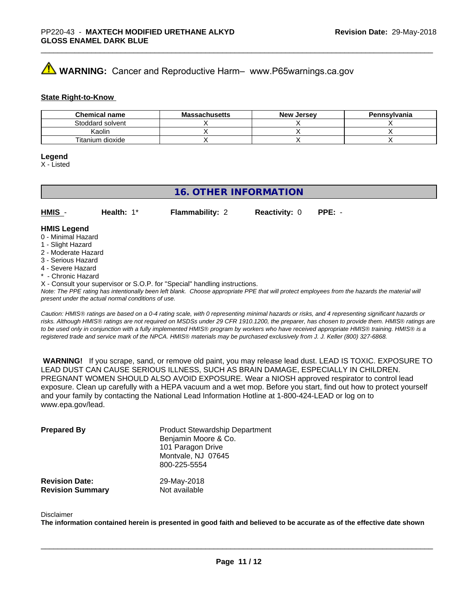# **WARNING:** Cancer and Reproductive Harm– www.P65warnings.ca.gov

#### **State Right-to-Know**

| <b>Chemical name</b> | <b>Massachusetts</b> | <b>New Jersey</b> | Pennsylvania |
|----------------------|----------------------|-------------------|--------------|
| Stoddard solvent     |                      |                   |              |
| Kaolin               |                      |                   |              |
| Titanium dioxide     |                      |                   |              |

#### **Legend**

X - Listed

## **16. OTHER INFORMATION**

**HMIS** - **Health:** 1\* **Flammability:** 2 **Reactivity:** 0 **PPE:** -

#### **HMIS Legend**

- 0 Minimal Hazard
- 1 Slight Hazard
- 2 Moderate Hazard
- 3 Serious Hazard
- 4 Severe Hazard
- **Chronic Hazard**
- X Consult your supervisor or S.O.P. for "Special" handling instructions.

*Note: The PPE rating has intentionally been left blank. Choose appropriate PPE that will protect employees from the hazards the material will present under the actual normal conditions of use.*

*Caution: HMISÒ ratings are based on a 0-4 rating scale, with 0 representing minimal hazards or risks, and 4 representing significant hazards or risks. Although HMISÒ ratings are not required on MSDSs under 29 CFR 1910.1200, the preparer, has chosen to provide them. HMISÒ ratings are to be used only in conjunction with a fully implemented HMISÒ program by workers who have received appropriate HMISÒ training. HMISÒ is a registered trade and service mark of the NPCA. HMISÒ materials may be purchased exclusively from J. J. Keller (800) 327-6868.*

 **WARNING!** If you scrape, sand, or remove old paint, you may release lead dust. LEAD IS TOXIC. EXPOSURE TO LEAD DUST CAN CAUSE SERIOUS ILLNESS, SUCH AS BRAIN DAMAGE, ESPECIALLY IN CHILDREN. PREGNANT WOMEN SHOULD ALSO AVOID EXPOSURE.Wear a NIOSH approved respirator to control lead exposure. Clean up carefully with a HEPA vacuum and a wet mop. Before you start, find out how to protect yourself and your family by contacting the National Lead Information Hotline at 1-800-424-LEAD or log on to www.epa.gov/lead.

| <b>Prepared By</b>      | <b>Product Stewardship Department</b><br>Benjamin Moore & Co.<br>101 Paragon Drive<br>Montvale, NJ 07645<br>800-225-5554 |
|-------------------------|--------------------------------------------------------------------------------------------------------------------------|
| <b>Revision Date:</b>   | 29-May-2018                                                                                                              |
| <b>Revision Summary</b> | Not available                                                                                                            |

#### Disclaimer

The information contained herein is presented in good faith and believed to be accurate as of the effective date shown